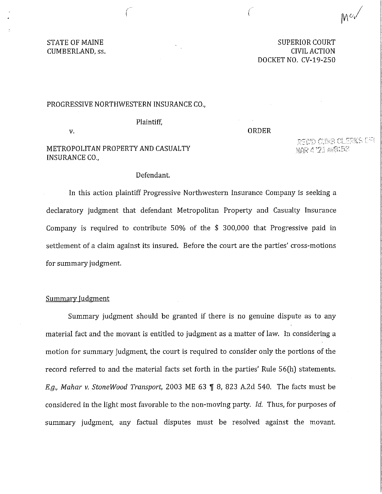STATE OF MAINE CUMBERLAND, ss.

SUPERIOR COURT CIVIL ACTION DOCKET NO. CV-19-250

### PROGRESSIVE NORTHWESTERN INSURANCE CO.,

Plaintiff,

V.

## ORDER

 $\wedge$   $\wedge$   $\wedge$   $\wedge$   $\wedge$   $\wedge$   $\wedge$   $\wedge$   $\wedge$   $\wedge$   $\wedge$   $\wedge$   $\wedge$   $\wedge$   $\wedge$   $\wedge$   $\wedge$   $\wedge$   $\wedge$   $\wedge$   $\wedge$   $\wedge$   $\wedge$   $\wedge$   $\wedge$   $\wedge$   $\wedge$   $\wedge$   $\wedge$   $\wedge$   $\wedge$   $\wedge$   $\wedge$   $\wedge$   $\wedge$   $\wedge$   $\wedge$ 

# METROPOLITAN PROPERTY AND CASUALTY INSURANCE CO.,

REDD OPE CLERKS WY MAR 4 71 ANGLES

# Defendant.

In this action plaintiff Progressive Northwestern Insurance Company is seeking a declaratory judgment that defendant Metropolitan Property and Casualty Insurance Company is required to contribute 50% of the \$ 300,000 that Progressive paid in settlement of a claim against its insured. Before the court are the parties' cross-motions for summary judgment.

## Summary Judgment

Summary judgment should be granted if there is no genuine dispute as to any material fact and the movant is entitled to judgment as a matter of law. In considering a motion for summary judgment, the court is required to consider only the portions of the record referred to and the material facts set forth in the parties' Rule 56(h) statements. *E.g., Mahar v. StoneWood Transport,* 2003 ME 63 **[8** 8, 823 A.2d 540. The facts must be considered in the light most favorable to the non-moving party. *Id.* Thus, for purposes of summary judgment, any factual disputes must be resolved against the movant.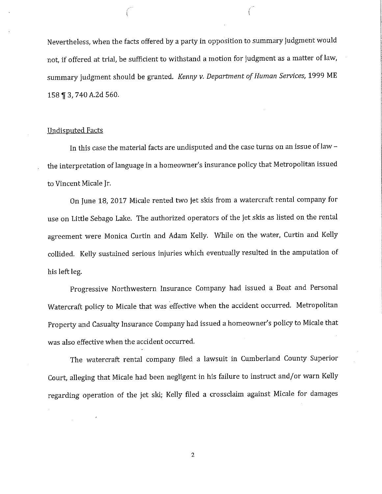Nevertheless, when the facts offered by a party in opposition to summary judgment would not, if offered at trial, be sufficient to withstand a motion for judgment as a matter of law, summary judgment should be granted. *Kenny v. Department of Human Services,* 1999 ME 158 ¶ 3, 740 A.2d 560.

 $($ 

### Undisputed Facts

In this case the material facts are undisputed and the case turns on an issue of law the interpretation of language in a homeowner's insurance policy that Metropolitan issued to Vincent Micale Jr.

On June 18, 2017 Micale rented two jet skis from a watercraft rental company for use on Little Sebago Lake. The authorized operators of the jet skis as listed on the rental agreement were Monica Curtin and Adam Kelly. While on the water, Curtin and Kelly collided. Kelly sustained serious injuries which eventually resulted in the amputation of his left leg.

Progressive Northwestern Insurance Company had issued a Boat and Personal Watercraft policy to Micale that was effective when the accident occurred. Metropolitan Property and Casualty Insurance Company had issued a homeowner's policy to Micale that was also effective when the accident occurred.

The watercraft rental company filed a lawsuit in Cumberland County Superior Court, alleging that Micale had been negligent in his failure to instruct and/or warn Kelly regarding operation of the jet ski; Kelly filed a crossclaim against Micale for damages

2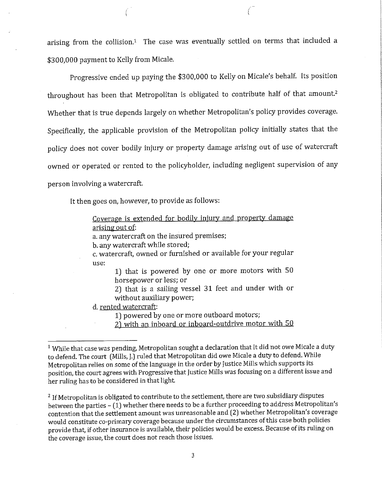arising from the collision.<sup>1</sup> The case was eventually settled on terms that included a \$300,000 payment to Kelly from Micale.

Progressive ended up paying the \$300,000 to Kelly on Micale's behalf. Its position throughout has been that Metropolitan is obligated to contribute half of that amount.<sup>2</sup> Whether that is true depends largely on whether Metropolitan's policy provides coverage. Specifically, the applicable provision of the Metropolitan policy initially states that the policy does not cover bodily injury or property damage arising out of use of watercraft owned or operated or rented to the policyholder, including negligent supervision of any person involving a watercraft.

It then goes on, however, to provide as follows:

Coverage is extended for bodily injury and property damage arising out of:

a. any watercraft on the insured premises;

b. any watercraft while stored;

c. watercraft, owned or furnished or available for your regular use:

1) that is powered by one or more motors with 50 horsepower or less; or

2) that is a sailing vessel 31 feet and under with or without auxiliary power;

d. rented watercraft:

1) powered by one or more outboard motors;

2) with an inboard or inboard-outdrive motor with 50

<sup>2</sup> If Metropolitan is obligated to contribute to the settlement, there are two subsidiary disputes between the parties  $-$  (1) whether there needs to be a further proceeding to address Metropolitan's contention that the settlement amount was unreasonable and (2) whether Metropolitan's coverage would constitute co-primary coverage because under the circumstances of this case both policies provide that, if other insurance is available, their policies would be excess. Because of its ruling on the coverage issue, the court does not reach those issues.

<sup>&</sup>lt;sup>1</sup> While that case was pending, Metropolitan sought a declaration that it did not owe Micale a duty to defend. The court (Mills, J.) ruled that Metropolitan did owe Micale a duty to defend. While Metropolitan relies on some of the language in the order by Justice Mills which supports its position, the court agrees with Progressive that Justice Mills was focusing on a different issue and her ruling has to be considered in that light.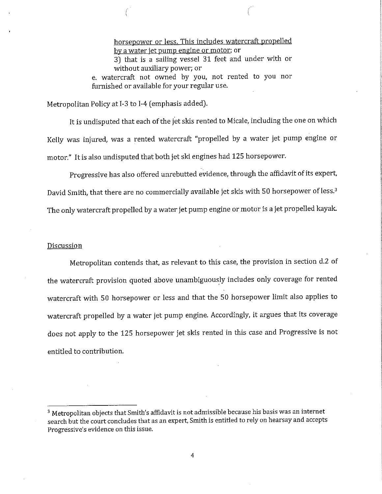horsepower or less. This includes watercraft propelled by a water jet pump engine or motor; or 3) that is a sailing vessel 31 feet and under with or without auxiliary power; or e. watercraft not owned by you, not rented to you nor furnished or available for your regular use.

Metropolitan Policy at 1-3 to 1-4 (emphasis added).

It is undisputed that each of the jet skis rented to Micale, including the one on which Kelly was injured, was a rented watercraft "propelled by a water jet pump engine or motor." It is also undisputed that both jet ski engines had 125 horsepower.

Progressive has also offered unrebutted evidence, through the affidavit of its expert, David Smith, that there are no commercially available jet skis with 50 horsepower of less.<sup>3</sup> The only watercraft propelled by a water jet pump engine or motor is a jet propelled kayak

### Discussion

Metropolitan contends that, as relevant to this case, the provision in section d.2 of the watercraft provision quoted above unambiguously includes only coverage for rented watercraft with 50 horsepower or less and that the 50 horsepower limit also applies to watercraft propelled by a water jet pump engine. Accordingly, it argues that its coverage does not apply to the 125 horsepower jet skis rented in this case and Progressive is not entitled to contribution.

 $3$  Metropolitan objects that Smith's affidavit is not admissible because his basis was an internet search but the court concludes that as an expert, Smith is entitled to rely on hearsay and accepts Progressive's evidence on this issue.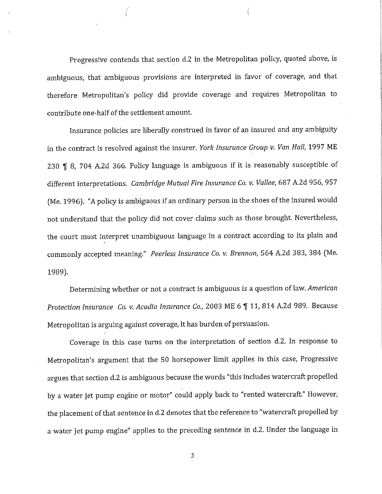Progressive contends that section d.2 in the Metropolitan policy, quoted above, is ambiguous, that ambiguous provisions are interpreted in favor of coverage, and that therefore Metropolitan's policy did provide coverage and requires Metropolitan to contribute one-half of the settlement amount.

Insurance policies are liberally construed in favor of an insured and any ambiguity in the contract is resolved against the insurer. *York Insurance Group v. Van Hall,* 1997 ME 230  $\sqrt{9}$  8, 704 A.2d 366. Policy language is ambiguous if it is reasonably susceptible of different interpretations. *Cambridge Mutual Fire Insurance Co. v. Vallee,* 687 A.2d 956, 957 (Me. 1996). "A policy is ambiguous if an ordinary person in the shoes of the insured would not understand that the policy did not cover claims such as those brought. Nevertheless, the court must interpret unambiguous language in a contract according to its plain and commonly accepted meaning." *Peerless Insurance Co. v. Brennon,* 564 A.2d 383, 384 (Me. 1989).

Determining whether or not a contract is ambiguous is a question of law. *American Protection Insurance Co. v. Acadia Insurance Co.,* 2003 ME 6 1 11, 814 A.2d 989. Because Metropolitan is arguing against coverage, it has burden of persuasion.

Coverage in this case turns on the interpretation of section d.2. In response to Metropolitan's argument that the 50 horsepower limit applies in this case, Progressive argues that section d.2 is ambiguous because the words "this includes watercraft propelled by a water jet pump engine or motor" could apply back to "rented watercraft." However, the placement of that sentence in d.2 denotes that the reference to "watercraft propelled by a water jet pump engine" applies to the preceding sentence in d.2. Under the language in

5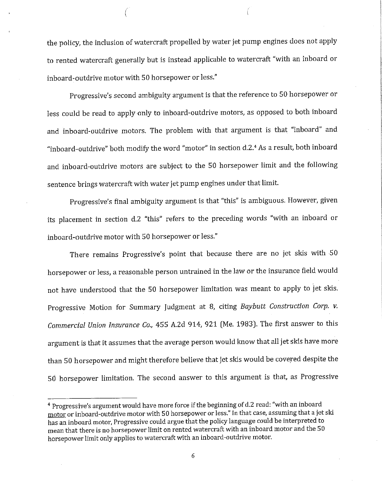the policy, the inclusion of watercraft propelled by water jet pump engines does not apply to rented watercraft generally but is instead applicable to watercraft "with an inboard or inboard-outdrive motor with 50 horsepower or less."

Progressive's second ambiguity argument is that the reference to 50 horsepower or less could be read to apply only to inboard-outdrive motors, as opposed to both inboard and inboard-outdrive motors. The problem with that argument is that "inboard" and "inboard-outdrive" both modify the word "motor" in section d.2.4 As a result, both inboard and inboard-outdrive motors are subject to the 50 horsepower limit and the following sentence brings watercraft with water jet pump engines under that limit.

Progressive's final ambiguity argument is that "this" is ambiguous. However, given its placement in section d.2 "this" refers to the preceding words "with an inboard or inboard-outdrive motor with 50 horsepower or less."

There remains Progressive's point that because there are no jet skis with 50 horsepower or less, a reasonable person untrained in the law or the insurance field would not have understood that the 50 horsepower limitation was meant to apply to jet skis. Progressive Motion for Summary Judgment at 8, citing *Baybutt Construction Corp. v. Commercial Union Insurance Co.,* 455 A.Zd 914, 921 (Me. 1983). The first answer to this argument is that it assumes that the average person would know that all jet skis have more than 50 horsepower and might therefore believe that jet skis would be covered despite the SO horsepower limitation. The second answer to this argument is that, as Progressive

<sup>&</sup>lt;sup>4</sup> Progressive's argument would have more force if the beginning of d.2 read: "with an inboard motor or inboard-outdrive motor with 50 horsepower or less." In that case, assuming that a jet ski has an inboard motor, Progressive could argue that the policy language could be interpreted to mean that there is no horsepower limit on rented watercraft with an inboard motor and the 50 horsepower limit only applies to watercraft with an inboard-outdrive motor.